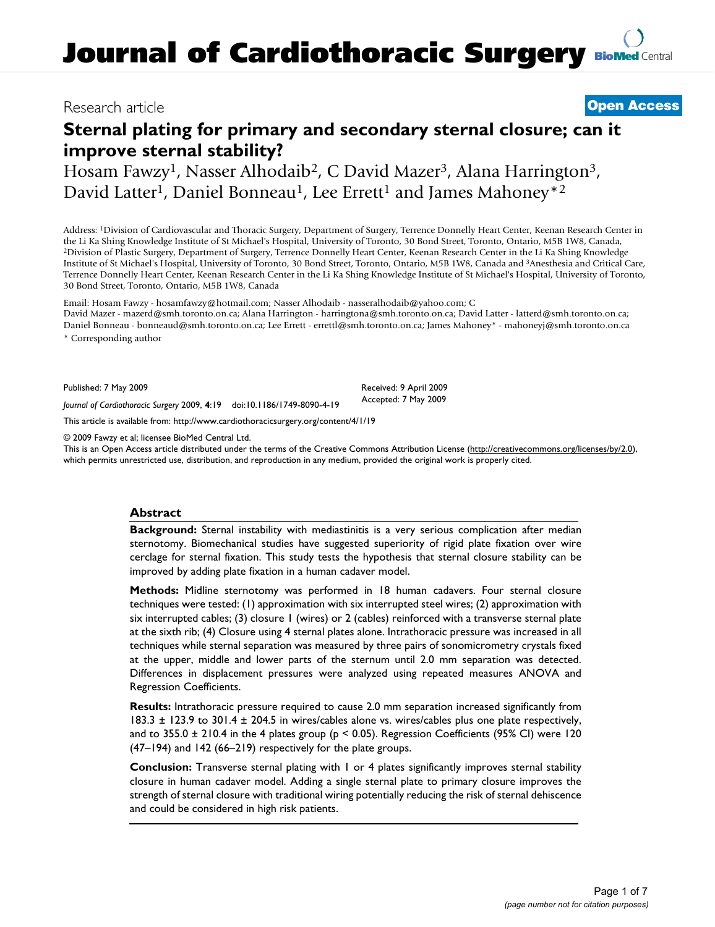# **Journal of Cardiothoracic Surgery BioMed Central**

# Research article **Open Access**

# **Sternal plating for primary and secondary sternal closure; can it improve sternal stability?**

Hosam Fawzy<sup>1</sup>, Nasser Alhodaib<sup>2</sup>, C David Mazer<sup>3</sup>, Alana Harrington<sup>3</sup>, David Latter<sup>1</sup>, Daniel Bonneau<sup>1</sup>, Lee Errett<sup>1</sup> and James Mahoney<sup>\*2</sup>

Address: 1Division of Cardiovascular and Thoracic Surgery, Department of Surgery, Terrence Donnelly Heart Center, Keenan Research Center in the Li Ka Shing Knowledge Institute of St Michael's Hospital, University of Toronto, 30 Bond Street, Toronto, Ontario, M5B 1W8, Canada,<br><sup>2</sup>Division of Plastic Surgery, Department of Surgery, Terrence Donnelly Heart Center, Institute of St Michael's Hospital, University of Toronto, 30 Bond Street, Toronto, Ontario, M5B 1W8, Canada and 3Anesthesia and Critical Care, Terrence Donnelly Heart Center, Keenan Research Center in the Li Ka Shing Knowledge Institute of St Michael's Hospital, University of Toronto, 30 Bond Street, Toronto, Ontario, M5B 1W8, Canada

Email: Hosam Fawzy - hosamfawzy@hotmail.com; Nasser Alhodaib - nasseralhodaib@yahoo.com; C David Mazer - mazerd@smh.toronto.on.ca; Alana Harrington - harringtona@smh.toronto.on.ca; David Latter - latterd@smh.toronto.on.ca; Daniel Bonneau - bonneaud@smh.toronto.on.ca; Lee Errett - errettl@smh.toronto.on.ca; James Mahoney\* - mahoneyj@smh.toronto.on.ca \* Corresponding author

Published: 7 May 2009

Received: 9 April 2009 Accepted: 7 May 2009

This article is available from: http://www.cardiothoracicsurgery.org/content/4/1/19

*Journal of Cardiothoracic Surgery* 2009, **4**:19 doi:10.1186/1749-8090-4-19

© 2009 Fawzy et al; licensee BioMed Central Ltd.

This is an Open Access article distributed under the terms of the Creative Commons Attribution License (http://creativecommons.org/licenses/by/2.0), which permits unrestricted use, distribution, and reproduction in any medium, provided the original work is properly cited.

#### **Abstract**

**Background:** Sternal instability with mediastinitis is a very serious complication after median sternotomy. Biomechanical studies have suggested superiority of rigid plate fixation over wire cerclage for sternal fixation. This study tests the hypothesis that sternal closure stability can be improved by adding plate fixation in a human cadaver model.

**Methods:** Midline sternotomy was performed in 18 human cadavers. Four sternal closure techniques were tested: (1) approximation with six interrupted steel wires; (2) approximation with six interrupted cables; (3) closure 1 (wires) or 2 (cables) reinforced with a transverse sternal plate at the sixth rib; (4) Closure using 4 sternal plates alone. Intrathoracic pressure was increased in all techniques while sternal separation was measured by three pairs of sonomicrometry crystals fixed at the upper, middle and lower parts of the sternum until 2.0 mm separation was detected. Differences in displacement pressures were analyzed using repeated measures ANOVA and Regression Coefficients.

**Results:** Intrathoracic pressure required to cause 2.0 mm separation increased significantly from 183.3 ± 123.9 to 301.4 ± 204.5 in wires/cables alone vs. wires/cables plus one plate respectively, and to  $355.0 \pm 210.4$  in the 4 plates group (p < 0.05). Regression Coefficients (95% CI) were 120 (47–194) and 142 (66–219) respectively for the plate groups.

**Conclusion:** Transverse sternal plating with 1 or 4 plates significantly improves sternal stability closure in human cadaver model. Adding a single sternal plate to primary closure improves the strength of sternal closure with traditional wiring potentially reducing the risk of sternal dehiscence and could be considered in high risk patients.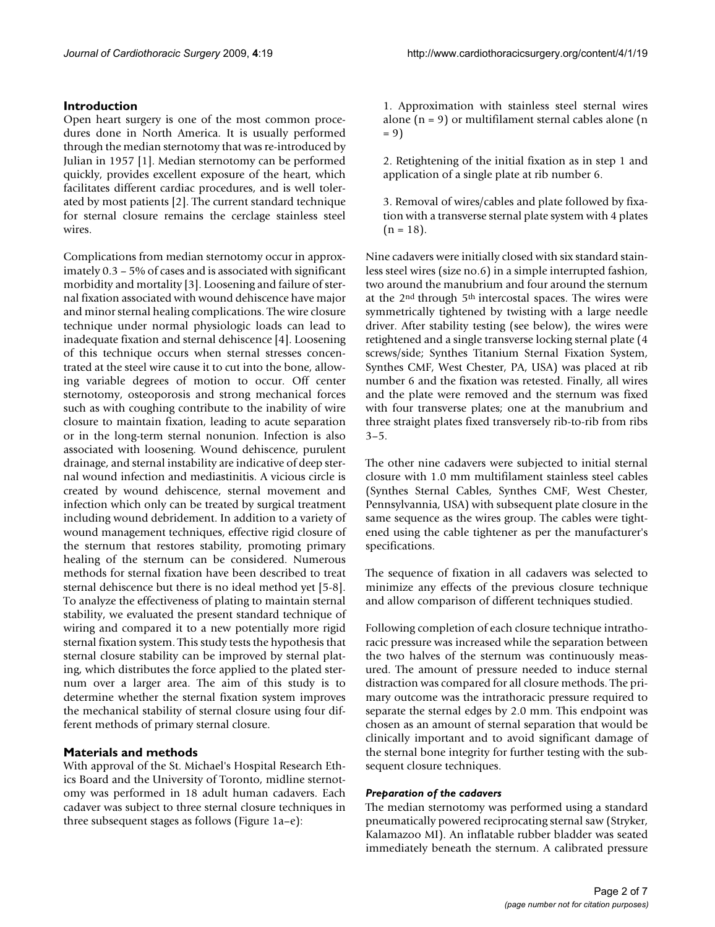### **Introduction**

Open heart surgery is one of the most common procedures done in North America. It is usually performed through the median sternotomy that was re-introduced by Julian in 1957 [1]. Median sternotomy can be performed quickly, provides excellent exposure of the heart, which facilitates different cardiac procedures, and is well tolerated by most patients [2]. The current standard technique for sternal closure remains the cerclage stainless steel wires.

Complications from median sternotomy occur in approximately 0.3 – 5% of cases and is associated with significant morbidity and mortality [3]. Loosening and failure of sternal fixation associated with wound dehiscence have major and minor sternal healing complications. The wire closure technique under normal physiologic loads can lead to inadequate fixation and sternal dehiscence [4]. Loosening of this technique occurs when sternal stresses concentrated at the steel wire cause it to cut into the bone, allowing variable degrees of motion to occur. Off center sternotomy, osteoporosis and strong mechanical forces such as with coughing contribute to the inability of wire closure to maintain fixation, leading to acute separation or in the long-term sternal nonunion. Infection is also associated with loosening. Wound dehiscence, purulent drainage, and sternal instability are indicative of deep sternal wound infection and mediastinitis. A vicious circle is created by wound dehiscence, sternal movement and infection which only can be treated by surgical treatment including wound debridement. In addition to a variety of wound management techniques, effective rigid closure of the sternum that restores stability, promoting primary healing of the sternum can be considered. Numerous methods for sternal fixation have been described to treat sternal dehiscence but there is no ideal method yet [5-8]. To analyze the effectiveness of plating to maintain sternal stability, we evaluated the present standard technique of wiring and compared it to a new potentially more rigid sternal fixation system. This study tests the hypothesis that sternal closure stability can be improved by sternal plating, which distributes the force applied to the plated sternum over a larger area. The aim of this study is to determine whether the sternal fixation system improves the mechanical stability of sternal closure using four different methods of primary sternal closure.

## **Materials and methods**

With approval of the St. Michael's Hospital Research Ethics Board and the University of Toronto, midline sternotomy was performed in 18 adult human cadavers. Each cadaver was subject to three sternal closure techniques in three subsequent stages as follows (Figure 1a–e):

1. Approximation with stainless steel sternal wires alone  $(n = 9)$  or multifilament sternal cables alone  $(n = 1)$ = 9)

2. Retightening of the initial fixation as in step 1 and application of a single plate at rib number 6.

3. Removal of wires/cables and plate followed by fixation with a transverse sternal plate system with 4 plates  $(n = 18)$ .

Nine cadavers were initially closed with six standard stainless steel wires (size no.6) in a simple interrupted fashion, two around the manubrium and four around the sternum at the 2nd through 5th intercostal spaces. The wires were symmetrically tightened by twisting with a large needle driver. After stability testing (see below), the wires were retightened and a single transverse locking sternal plate (4 screws/side; Synthes Titanium Sternal Fixation System, Synthes CMF, West Chester, PA, USA) was placed at rib number 6 and the fixation was retested. Finally, all wires and the plate were removed and the sternum was fixed with four transverse plates; one at the manubrium and three straight plates fixed transversely rib-to-rib from ribs  $3 - 5$ .

The other nine cadavers were subjected to initial sternal closure with 1.0 mm multifilament stainless steel cables (Synthes Sternal Cables, Synthes CMF, West Chester, Pennsylvannia, USA) with subsequent plate closure in the same sequence as the wires group. The cables were tightened using the cable tightener as per the manufacturer's specifications.

The sequence of fixation in all cadavers was selected to minimize any effects of the previous closure technique and allow comparison of different techniques studied.

Following completion of each closure technique intrathoracic pressure was increased while the separation between the two halves of the sternum was continuously measured. The amount of pressure needed to induce sternal distraction was compared for all closure methods. The primary outcome was the intrathoracic pressure required to separate the sternal edges by 2.0 mm. This endpoint was chosen as an amount of sternal separation that would be clinically important and to avoid significant damage of the sternal bone integrity for further testing with the subsequent closure techniques.

#### *Preparation of the cadavers*

The median sternotomy was performed using a standard pneumatically powered reciprocating sternal saw (Stryker, Kalamazoo MI). An inflatable rubber bladder was seated immediately beneath the sternum. A calibrated pressure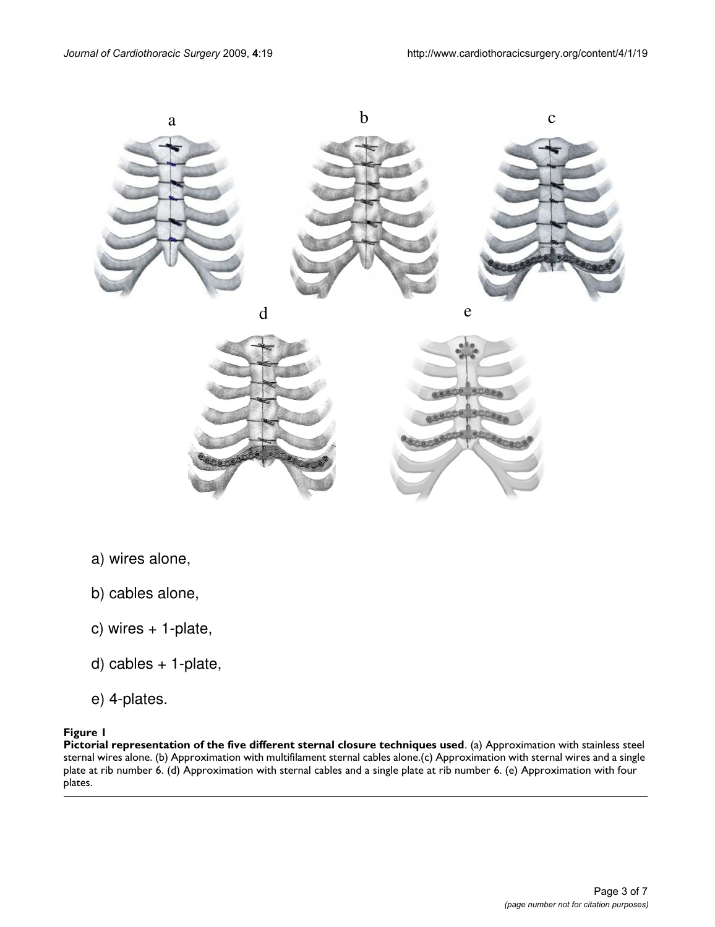

- a) wires alone,
- b) cables alone,
- c) wires + 1-plate,
- d) cables + 1-plate,
- e) 4-plates.

# **Figure 1**

**Pictorial representation of the five different sternal closure techniques used**. (a) Approximation with stainless steel sternal wires alone. (b) Approximation with multifilament sternal cables alone.(c) Approximation with sternal wires and a single plate at rib number 6. (d) Approximation with sternal cables and a single plate at rib number 6. (e) Approximation with four plates.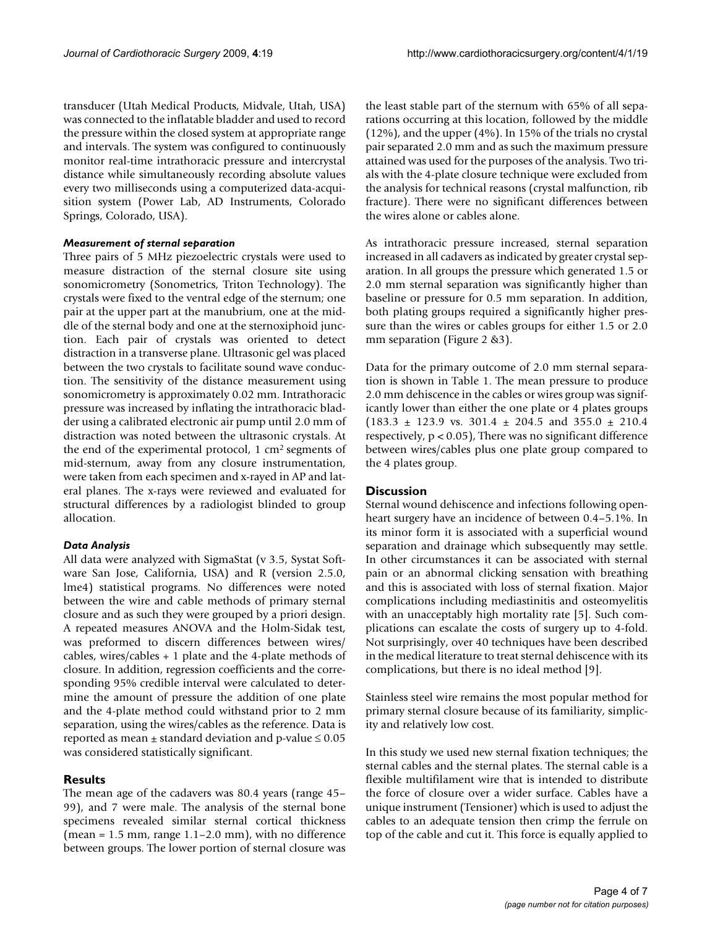transducer (Utah Medical Products, Midvale, Utah, USA) was connected to the inflatable bladder and used to record the pressure within the closed system at appropriate range and intervals. The system was configured to continuously monitor real-time intrathoracic pressure and intercrystal distance while simultaneously recording absolute values every two milliseconds using a computerized data-acquisition system (Power Lab, AD Instruments, Colorado Springs, Colorado, USA).

#### *Measurement of sternal separation*

Three pairs of 5 MHz piezoelectric crystals were used to measure distraction of the sternal closure site using sonomicrometry (Sonometrics, Triton Technology). The crystals were fixed to the ventral edge of the sternum; one pair at the upper part at the manubrium, one at the middle of the sternal body and one at the sternoxiphoid junction. Each pair of crystals was oriented to detect distraction in a transverse plane. Ultrasonic gel was placed between the two crystals to facilitate sound wave conduction. The sensitivity of the distance measurement using sonomicrometry is approximately 0.02 mm. Intrathoracic pressure was increased by inflating the intrathoracic bladder using a calibrated electronic air pump until 2.0 mm of distraction was noted between the ultrasonic crystals. At the end of the experimental protocol, 1 cm2 segments of mid-sternum, away from any closure instrumentation, were taken from each specimen and x-rayed in AP and lateral planes. The x-rays were reviewed and evaluated for structural differences by a radiologist blinded to group allocation.

#### *Data Analysis*

All data were analyzed with SigmaStat (v 3.5, Systat Software San Jose, California, USA) and R (version 2.5.0, lme4) statistical programs. No differences were noted between the wire and cable methods of primary sternal closure and as such they were grouped by a priori design. A repeated measures ANOVA and the Holm-Sidak test, was preformed to discern differences between wires/ cables, wires/cables + 1 plate and the 4-plate methods of closure. In addition, regression coefficients and the corresponding 95% credible interval were calculated to determine the amount of pressure the addition of one plate and the 4-plate method could withstand prior to 2 mm separation, using the wires/cables as the reference. Data is reported as mean  $\pm$  standard deviation and p-value  $\leq 0.05$ was considered statistically significant.

#### **Results**

The mean age of the cadavers was 80.4 years (range 45– 99), and 7 were male. The analysis of the sternal bone specimens revealed similar sternal cortical thickness (mean =  $1.5$  mm, range  $1.1 - 2.0$  mm), with no difference between groups. The lower portion of sternal closure was

the least stable part of the sternum with 65% of all separations occurring at this location, followed by the middle (12%), and the upper (4%). In 15% of the trials no crystal pair separated 2.0 mm and as such the maximum pressure attained was used for the purposes of the analysis. Two trials with the 4-plate closure technique were excluded from the analysis for technical reasons (crystal malfunction, rib fracture). There were no significant differences between the wires alone or cables alone.

As intrathoracic pressure increased, sternal separation increased in all cadavers as indicated by greater crystal separation. In all groups the pressure which generated 1.5 or 2.0 mm sternal separation was significantly higher than baseline or pressure for 0.5 mm separation. In addition, both plating groups required a significantly higher pressure than the wires or cables groups for either 1.5 or 2.0 mm separation (Figure 2 &3).

Data for the primary outcome of 2.0 mm sternal separation is shown in Table 1. The mean pressure to produce 2.0 mm dehiscence in the cables or wires group was significantly lower than either the one plate or 4 plates groups  $(183.3 \pm 123.9 \text{ vs. } 301.4 \pm 204.5 \text{ and } 355.0 \pm 210.4 \text{ s})$ respectively,  $p < 0.05$ ), There was no significant difference between wires/cables plus one plate group compared to the 4 plates group.

#### **Discussion**

Sternal wound dehiscence and infections following openheart surgery have an incidence of between 0.4–5.1%. In its minor form it is associated with a superficial wound separation and drainage which subsequently may settle. In other circumstances it can be associated with sternal pain or an abnormal clicking sensation with breathing and this is associated with loss of sternal fixation. Major complications including mediastinitis and osteomyelitis with an unacceptably high mortality rate [5]. Such complications can escalate the costs of surgery up to 4-fold. Not surprisingly, over 40 techniques have been described in the medical literature to treat sternal dehiscence with its complications, but there is no ideal method [9].

Stainless steel wire remains the most popular method for primary sternal closure because of its familiarity, simplicity and relatively low cost.

In this study we used new sternal fixation techniques; the sternal cables and the sternal plates. The sternal cable is a flexible multifilament wire that is intended to distribute the force of closure over a wider surface. Cables have a unique instrument (Tensioner) which is used to adjust the cables to an adequate tension then crimp the ferrule on top of the cable and cut it. This force is equally applied to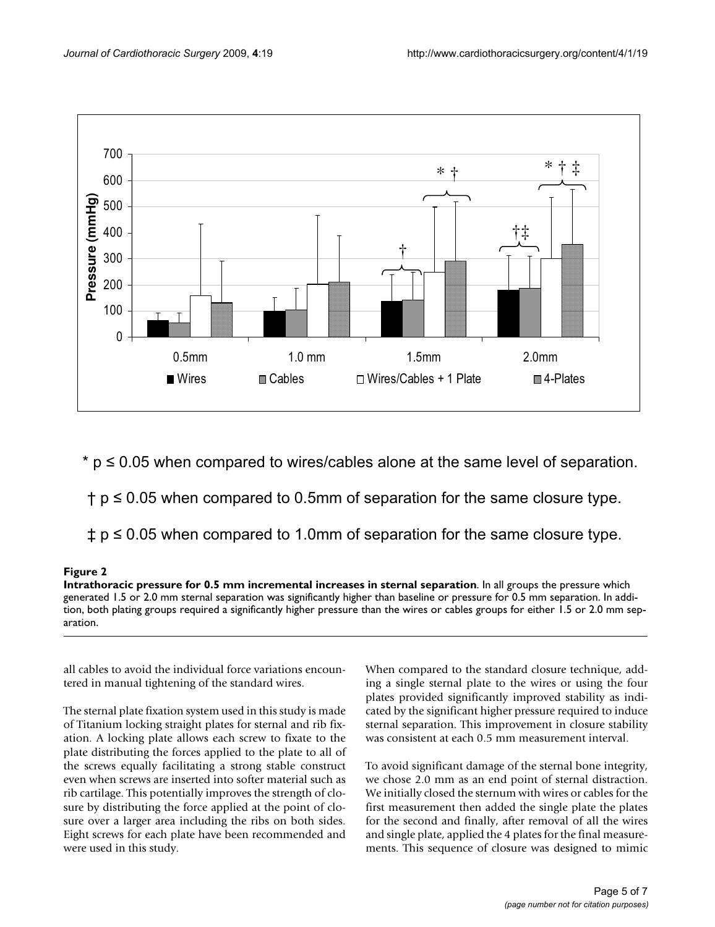

 $*$  p  $\leq$  0.05 when compared to wires/cables alone at the same level of separation.

 $\dagger$  p  $\leq$  0.05 when compared to 0.5mm of separation for the same closure type.

 $\updownarrow$  p  $\leq$  0.05 when compared to 1.0mm of separation for the same closure type.

# **Figure 2**

**Intrathoracic pressure for 0.5 mm incremental increases in sternal separation**. In all groups the pressure which generated 1.5 or 2.0 mm sternal separation was significantly higher than baseline or pressure for 0.5 mm separation. In addition, both plating groups required a significantly higher pressure than the wires or cables groups for either 1.5 or 2.0 mm separation.

all cables to avoid the individual force variations encountered in manual tightening of the standard wires.

The sternal plate fixation system used in this study is made of Titanium locking straight plates for sternal and rib fixation. A locking plate allows each screw to fixate to the plate distributing the forces applied to the plate to all of the screws equally facilitating a strong stable construct even when screws are inserted into softer material such as rib cartilage. This potentially improves the strength of closure by distributing the force applied at the point of closure over a larger area including the ribs on both sides. Eight screws for each plate have been recommended and were used in this study.

When compared to the standard closure technique, adding a single sternal plate to the wires or using the four plates provided significantly improved stability as indicated by the significant higher pressure required to induce sternal separation. This improvement in closure stability was consistent at each 0.5 mm measurement interval.

To avoid significant damage of the sternal bone integrity, we chose 2.0 mm as an end point of sternal distraction. We initially closed the sternum with wires or cables for the first measurement then added the single plate the plates for the second and finally, after removal of all the wires and single plate, applied the 4 plates for the final measurements. This sequence of closure was designed to mimic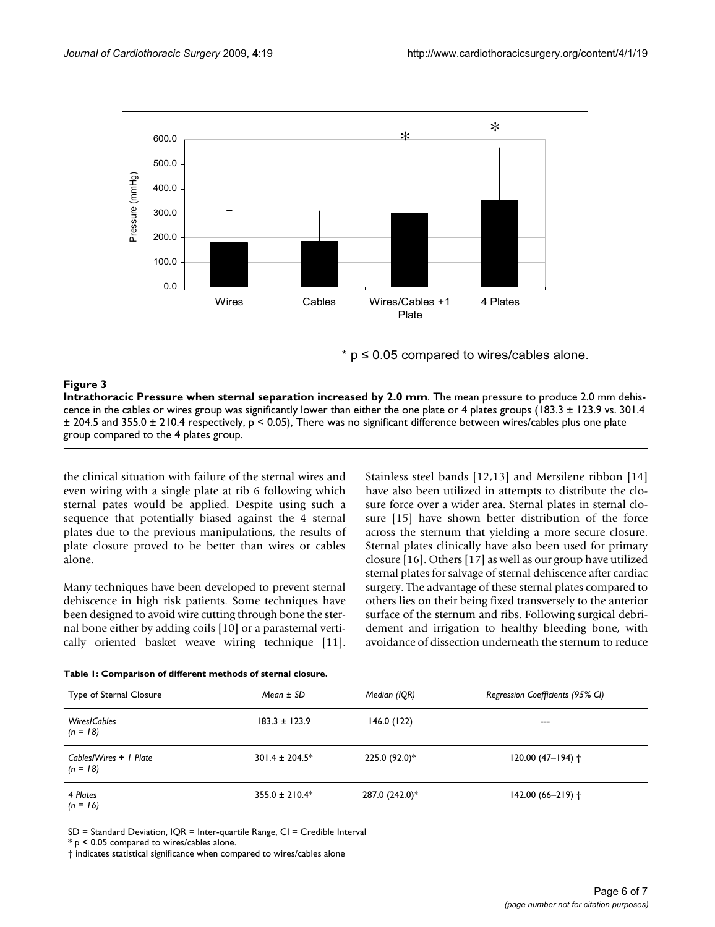

 $*$  p  $\leq$  0.05 compared to wires/cables alone.

#### **Figure 3**

**Intrathoracic Pressure when sternal separation increased by 2.0 mm**. The mean pressure to produce 2.0 mm dehiscence in the cables or wires group was significantly lower than either the one plate or 4 plates groups (183.3  $\pm$  123.9 vs. 301.4  $\pm$  204.5 and 355.0  $\pm$  210.4 respectively, p < 0.05), There was no significant difference between wires/cables plus one plate group compared to the 4 plates group.

the clinical situation with failure of the sternal wires and even wiring with a single plate at rib 6 following which sternal pates would be applied. Despite using such a sequence that potentially biased against the 4 sternal plates due to the previous manipulations, the results of plate closure proved to be better than wires or cables alone.

Many techniques have been developed to prevent sternal dehiscence in high risk patients. Some techniques have been designed to avoid wire cutting through bone the sternal bone either by adding coils [10] or a parasternal vertically oriented basket weave wiring technique [11]. Stainless steel bands [12,13] and Mersilene ribbon [14] have also been utilized in attempts to distribute the closure force over a wider area. Sternal plates in sternal closure [15] have shown better distribution of the force across the sternum that yielding a more secure closure. Sternal plates clinically have also been used for primary closure [16]. Others [17] as well as our group have utilized sternal plates for salvage of sternal dehiscence after cardiac surgery. The advantage of these sternal plates compared to others lies on their being fixed transversely to the anterior surface of the sternum and ribs. Following surgical debridement and irrigation to healthy bleeding bone, with avoidance of dissection underneath the sternum to reduce

|  |  | Table 1: Comparison of different methods of sternal closure. |  |  |  |  |
|--|--|--------------------------------------------------------------|--|--|--|--|
|--|--|--------------------------------------------------------------|--|--|--|--|

| Type of Sternal Closure              | $Mean \pm SD$       | Median (IQR)   | Regression Coefficients (95% CI) |
|--------------------------------------|---------------------|----------------|----------------------------------|
| <b>Wires/Cables</b><br>$(n = 18)$    | $183.3 \pm 123.9$   | 146.0(122)     | $---$                            |
| Cables/Wires + 1 Plate<br>$(n = 18)$ | $301.4 \pm 204.5^*$ | 225.0 (92.0)*  | $120.00(47-194)$ †               |
| 4 Plates<br>$(n = 16)$               | $355.0 \pm 210.4*$  | 287.0 (242.0)* | $142.00(66 - 219)$ †             |

SD = Standard Deviation, IQR = Inter-quartile Range, CI = Credible Interval

\* p < 0.05 compared to wires/cables alone.

† indicates statistical significance when compared to wires/cables alone